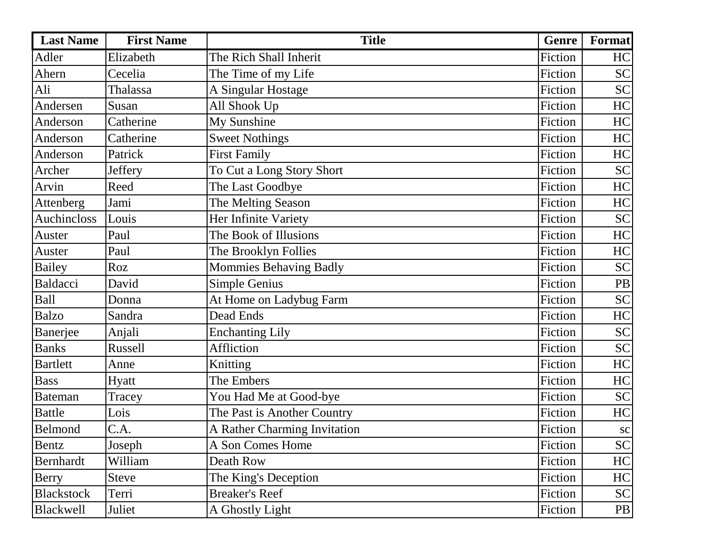| <b>Last Name</b> | <b>First Name</b> | <b>Title</b>                 | Genre   | Format    |
|------------------|-------------------|------------------------------|---------|-----------|
| Adler            | Elizabeth         | The Rich Shall Inherit       | Fiction | HC        |
| Ahern            | Cecelia           | The Time of my Life          | Fiction | <b>SC</b> |
| Ali              | Thalassa          | A Singular Hostage           | Fiction | <b>SC</b> |
| Andersen         | Susan             | All Shook Up                 | Fiction | HC        |
| Anderson         | Catherine         | My Sunshine                  | Fiction | HC        |
| Anderson         | Catherine         | <b>Sweet Nothings</b>        | Fiction | HC        |
| Anderson         | Patrick           | <b>First Family</b>          | Fiction | HC        |
| Archer           | Jeffery           | To Cut a Long Story Short    | Fiction | <b>SC</b> |
| Arvin            | Reed              | The Last Goodbye             | Fiction | HC        |
| Attenberg        | Jami              | The Melting Season           | Fiction | HC        |
| Auchincloss      | Louis             | Her Infinite Variety         | Fiction | <b>SC</b> |
| Auster           | Paul              | The Book of Illusions        | Fiction | HC        |
| Auster           | Paul              | The Brooklyn Follies         | Fiction | HC        |
| <b>Bailey</b>    | Roz               | Mommies Behaving Badly       | Fiction | <b>SC</b> |
| <b>Baldacci</b>  | David             | Simple Genius                | Fiction | <b>PB</b> |
| Ball             | Donna             | At Home on Ladybug Farm      | Fiction | <b>SC</b> |
| <b>Balzo</b>     | Sandra            | Dead Ends                    | Fiction | HC        |
| Banerjee         | Anjali            | <b>Enchanting Lily</b>       | Fiction | <b>SC</b> |
| <b>Banks</b>     | <b>Russell</b>    | Affliction                   | Fiction | <b>SC</b> |
| <b>Bartlett</b>  | Anne              | Knitting                     | Fiction | HC        |
| <b>Bass</b>      | <b>Hyatt</b>      | The Embers                   | Fiction | HC        |
| <b>Bateman</b>   | Tracey            | You Had Me at Good-bye       | Fiction | <b>SC</b> |
| <b>Battle</b>    | Lois              | The Past is Another Country  | Fiction | HC        |
| Belmond          | C.A.              | A Rather Charming Invitation | Fiction | <b>SC</b> |
| Bentz            | Joseph            | A Son Comes Home             | Fiction | <b>SC</b> |
| Bernhardt        | William           | Death Row                    | Fiction | HC        |
| Berry            | Steve             | The King's Deception         | Fiction | HC        |
| Blackstock       | Terri             | <b>Breaker's Reef</b>        | Fiction | <b>SC</b> |
| <b>Blackwell</b> | Juliet            | A Ghostly Light              | Fiction | PB        |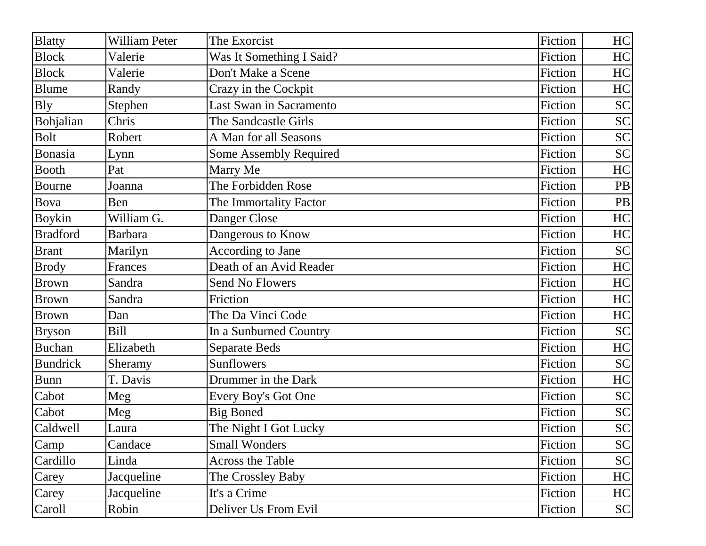| <b>Blatty</b>   | <b>William Peter</b> | The Exorcist                   | Fiction | HC        |
|-----------------|----------------------|--------------------------------|---------|-----------|
| <b>Block</b>    | Valerie              | Was It Something I Said?       | Fiction | HC        |
| <b>Block</b>    | Valerie              | Don't Make a Scene             | Fiction | HC        |
| <b>Blume</b>    | Randy                | Crazy in the Cockpit           | Fiction | HC        |
| <b>Bly</b>      | Stephen              | <b>Last Swan in Sacramento</b> | Fiction | <b>SC</b> |
| Bohjalian       | Chris                | The Sandcastle Girls           | Fiction | <b>SC</b> |
| <b>Bolt</b>     | Robert               | A Man for all Seasons          | Fiction | <b>SC</b> |
| Bonasia         | Lynn                 | <b>Some Assembly Required</b>  | Fiction | <b>SC</b> |
| <b>Booth</b>    | Pat                  | Marry Me                       | Fiction | HC        |
| Bourne          | Joanna               | The Forbidden Rose             | Fiction | <b>PB</b> |
| <b>Bova</b>     | Ben                  | The Immortality Factor         | Fiction | PB        |
| <b>Boykin</b>   | William G.           | Danger Close                   | Fiction | HC        |
| <b>Bradford</b> | <b>Barbara</b>       | Dangerous to Know              | Fiction | HC        |
| <b>Brant</b>    | Marilyn              | <b>According to Jane</b>       | Fiction | <b>SC</b> |
| <b>Brody</b>    | Frances              | Death of an Avid Reader        | Fiction | HC        |
| <b>Brown</b>    | Sandra               | <b>Send No Flowers</b>         | Fiction | HC        |
| <b>Brown</b>    | Sandra               | Friction                       | Fiction | HC        |
| <b>Brown</b>    | Dan                  | The Da Vinci Code              | Fiction | HC        |
| <b>Bryson</b>   | <b>Bill</b>          | In a Sunburned Country         | Fiction | <b>SC</b> |
| <b>Buchan</b>   | Elizabeth            | <b>Separate Beds</b>           | Fiction | HC        |
| <b>Bundrick</b> | Sheramy              | Sunflowers                     | Fiction | <b>SC</b> |
| <b>Bunn</b>     | T. Davis             | Drummer in the Dark            | Fiction | HC        |
| Cabot           | Meg                  | Every Boy's Got One            | Fiction | <b>SC</b> |
| Cabot           | Meg                  | <b>Big Boned</b>               | Fiction | <b>SC</b> |
| Caldwell        | Laura                | The Night I Got Lucky          | Fiction | <b>SC</b> |
| Camp            | Candace              | <b>Small Wonders</b>           | Fiction | <b>SC</b> |
| Cardillo        | Linda                | <b>Across the Table</b>        | Fiction | <b>SC</b> |
| Carey           | Jacqueline           | The Crossley Baby              | Fiction | HC        |
| Carey           | Jacqueline           | It's a Crime                   | Fiction | HC        |
| Caroll          | Robin                | Deliver Us From Evil           | Fiction | <b>SC</b> |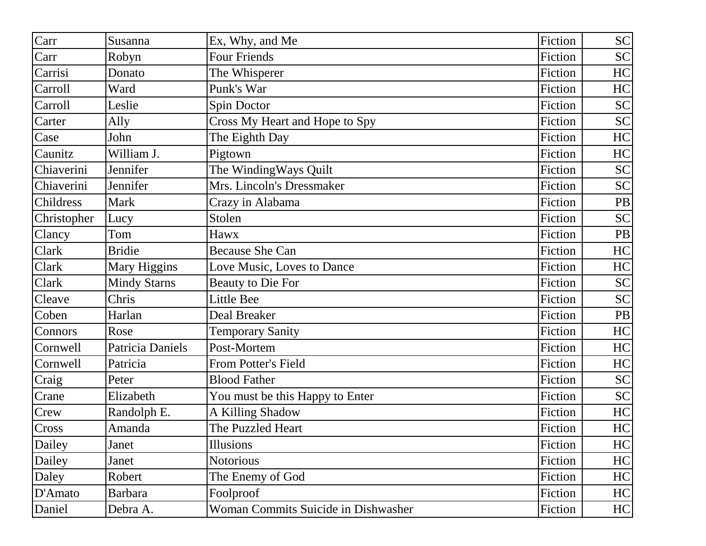| Carr        | Susanna             | Ex, Why, and Me                     | Fiction | <b>SC</b> |
|-------------|---------------------|-------------------------------------|---------|-----------|
| Carr        | Robyn               | <b>Four Friends</b>                 | Fiction | <b>SC</b> |
| Carrisi     | Donato              | The Whisperer                       | Fiction | HC        |
| Carroll     | Ward                | Punk's War                          | Fiction | HC        |
| Carroll     | Leslie              | Spin Doctor                         | Fiction | <b>SC</b> |
| Carter      | Ally                | Cross My Heart and Hope to Spy      | Fiction | <b>SC</b> |
| Case        | John                | The Eighth Day                      | Fiction | HC        |
| Caunitz     | William J.          | Pigtown                             | Fiction | HC        |
| Chiaverini  | Jennifer            | The WindingWays Quilt               | Fiction | <b>SC</b> |
| Chiaverini  | Jennifer            | Mrs. Lincoln's Dressmaker           | Fiction | <b>SC</b> |
| Childress   | <b>Mark</b>         | Crazy in Alabama                    | Fiction | PB        |
| Christopher | Lucy                | Stolen                              | Fiction | <b>SC</b> |
| Clancy      | Tom                 | Hawx                                | Fiction | PB        |
| Clark       | <b>Bridie</b>       | <b>Because She Can</b>              | Fiction | HC        |
| Clark       | Mary Higgins        | Love Music, Loves to Dance          | Fiction | HC        |
| Clark       | <b>Mindy Starns</b> | <b>Beauty to Die For</b>            | Fiction | <b>SC</b> |
| Cleave      | Chris               | Little Bee                          | Fiction | <b>SC</b> |
| Coben       | Harlan              | Deal Breaker                        | Fiction | PB        |
| Connors     | Rose                | <b>Temporary Sanity</b>             | Fiction | HC        |
| Cornwell    | Patricia Daniels    | Post-Mortem                         | Fiction | HC        |
| Cornwell    | Patricia            | From Potter's Field                 | Fiction | HC        |
| Craig       | Peter               | <b>Blood Father</b>                 | Fiction | <b>SC</b> |
| Crane       | Elizabeth           | You must be this Happy to Enter     | Fiction | <b>SC</b> |
| Crew        | Randolph E.         | A Killing Shadow                    | Fiction | HC        |
| Cross       | Amanda              | The Puzzled Heart                   | Fiction | HC        |
| Dailey      | Janet               | Illusions                           | Fiction | HC        |
| Dailey      | Janet               | <b>Notorious</b>                    | Fiction | HC        |
| Daley       | Robert              | The Enemy of God                    | Fiction | HC        |
| D'Amato     | <b>Barbara</b>      | Foolproof                           | Fiction | HC        |
| Daniel      | Debra A.            | Woman Commits Suicide in Dishwasher | Fiction | HC        |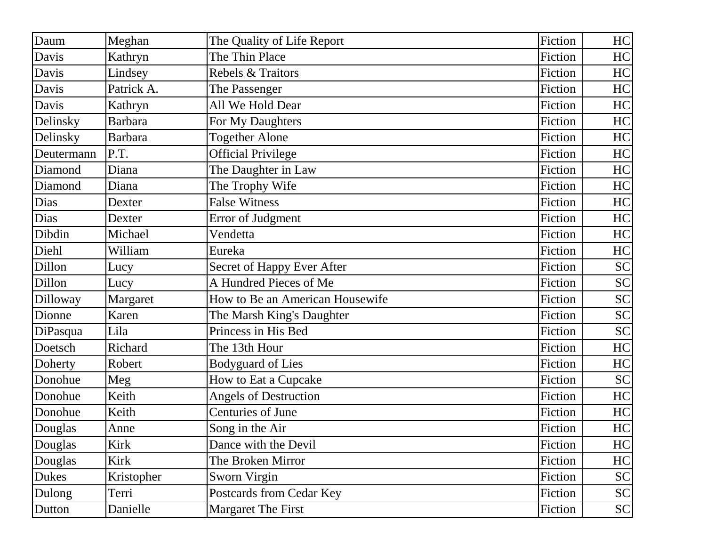| Daum       | Meghan         | The Quality of Life Report      | Fiction | HC        |
|------------|----------------|---------------------------------|---------|-----------|
| Davis      | Kathryn        | The Thin Place                  | Fiction | HC        |
| Davis      | Lindsey        | Rebels & Traitors               | Fiction | HC        |
| Davis      | Patrick A.     | The Passenger                   | Fiction | HC        |
| Davis      | Kathryn        | All We Hold Dear                | Fiction | HC        |
| Delinsky   | <b>Barbara</b> | For My Daughters                | Fiction | HC        |
| Delinsky   | <b>Barbara</b> | <b>Together Alone</b>           | Fiction | HC        |
| Deutermann | P.T.           | <b>Official Privilege</b>       | Fiction | HC        |
| Diamond    | Diana          | The Daughter in Law             | Fiction | HC        |
| Diamond    | Diana          | The Trophy Wife                 | Fiction | HC        |
| Dias       | Dexter         | <b>False Witness</b>            | Fiction | HC        |
| Dias       | Dexter         | Error of Judgment               | Fiction | HC        |
| Dibdin     | Michael        | Vendetta                        | Fiction | HC        |
| Diehl      | William        | Eureka                          | Fiction | HC        |
| Dillon     | Lucy           | Secret of Happy Ever After      | Fiction | <b>SC</b> |
| Dillon     | Lucy           | A Hundred Pieces of Me          | Fiction | <b>SC</b> |
| Dilloway   | Margaret       | How to Be an American Housewife | Fiction | <b>SC</b> |
| Dionne     | Karen          | The Marsh King's Daughter       | Fiction | <b>SC</b> |
| DiPasqua   | Lila           | Princess in His Bed             | Fiction | <b>SC</b> |
| Doetsch    | Richard        | The 13th Hour                   | Fiction | HC        |
| Doherty    | Robert         | <b>Bodyguard of Lies</b>        | Fiction | HC        |
| Donohue    | Meg            | How to Eat a Cupcake            | Fiction | <b>SC</b> |
| Donohue    | Keith          | <b>Angels of Destruction</b>    | Fiction | HC        |
| Donohue    | Keith          | Centuries of June               | Fiction | HC        |
| Douglas    | Anne           | Song in the Air                 | Fiction | HC        |
| Douglas    | Kirk           | Dance with the Devil            | Fiction | HC        |
| Douglas    | Kirk           | The Broken Mirror               | Fiction | HC        |
| Dukes      | Kristopher     | Sworn Virgin                    | Fiction | <b>SC</b> |
| Dulong     | Terri          | Postcards from Cedar Key        | Fiction | <b>SC</b> |
| Dutton     | Danielle       | Margaret The First              | Fiction | <b>SC</b> |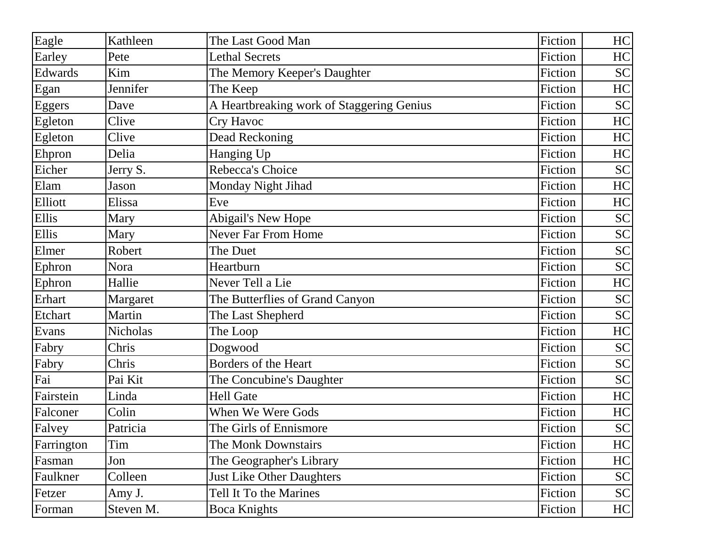| Eagle      | Kathleen        | The Last Good Man                         | Fiction | HC        |
|------------|-----------------|-------------------------------------------|---------|-----------|
| Earley     | Pete            | <b>Lethal Secrets</b>                     | Fiction | HC        |
| Edwards    | Kim             | The Memory Keeper's Daughter              | Fiction | <b>SC</b> |
| Egan       | Jennifer        | The Keep                                  | Fiction | HC        |
| Eggers     | Dave            | A Heartbreaking work of Staggering Genius | Fiction | <b>SC</b> |
| Egleton    | Clive           | Cry Havoc                                 | Fiction | HC        |
| Egleton    | Clive           | Dead Reckoning                            | Fiction | HC        |
| Ehpron     | Delia           | Hanging Up                                | Fiction | HC        |
| Eicher     | Jerry S.        | Rebecca's Choice                          | Fiction | <b>SC</b> |
| Elam       | Jason           | <b>Monday Night Jihad</b>                 | Fiction | HC        |
| Elliott    | Elissa          | Eve                                       | Fiction | HC        |
| Ellis      | Mary            | Abigail's New Hope                        | Fiction | <b>SC</b> |
| Ellis      | Mary            | <b>Never Far From Home</b>                | Fiction | <b>SC</b> |
| Elmer      | Robert          | The Duet                                  | Fiction | <b>SC</b> |
| Ephron     | Nora            | Heartburn                                 | Fiction | <b>SC</b> |
| Ephron     | Hallie          | Never Tell a Lie                          | Fiction | HC        |
| Erhart     | Margaret        | The Butterflies of Grand Canyon           | Fiction | <b>SC</b> |
| Etchart    | Martin          | The Last Shepherd                         | Fiction | <b>SC</b> |
| Evans      | <b>Nicholas</b> | The Loop                                  | Fiction | HC        |
| Fabry      | Chris           | Dogwood                                   | Fiction | <b>SC</b> |
| Fabry      | Chris           | Borders of the Heart                      | Fiction | <b>SC</b> |
| Fai        | Pai Kit         | The Concubine's Daughter                  | Fiction | <b>SC</b> |
| Fairstein  | Linda           | <b>Hell Gate</b>                          | Fiction | HC        |
| Falconer   | Colin           | When We Were Gods                         | Fiction | HC        |
| Falvey     | Patricia        | The Girls of Ennismore                    | Fiction | <b>SC</b> |
| Farrington | Tim             | The Monk Downstairs                       | Fiction | HC        |
| Fasman     | Jon             | The Geographer's Library                  | Fiction | HC        |
| Faulkner   | Colleen         | <b>Just Like Other Daughters</b>          | Fiction | <b>SC</b> |
| Fetzer     | Amy J.          | Tell It To the Marines                    | Fiction | <b>SC</b> |
| Forman     | Steven M.       | <b>Boca Knights</b>                       | Fiction | HC        |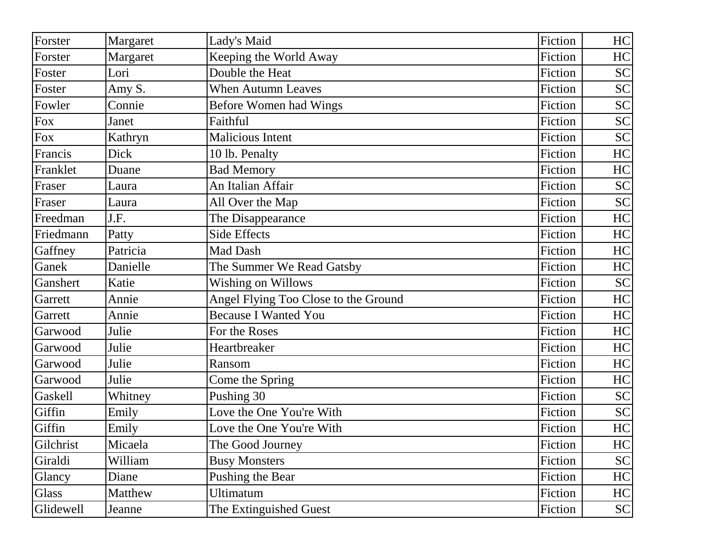| Forster   | Margaret | Lady's Maid                          | Fiction | HC        |
|-----------|----------|--------------------------------------|---------|-----------|
| Forster   | Margaret | Keeping the World Away               | Fiction | HC        |
| Foster    | Lori     | Double the Heat                      | Fiction | <b>SC</b> |
| Foster    | Amy S.   | <b>When Autumn Leaves</b>            | Fiction | <b>SC</b> |
| Fowler    | Connie   | Before Women had Wings               | Fiction | <b>SC</b> |
| Fox       | Janet    | Faithful                             | Fiction | <b>SC</b> |
| Fox       | Kathryn  | <b>Malicious Intent</b>              | Fiction | <b>SC</b> |
| Francis   | Dick     | 10 lb. Penalty                       | Fiction | HC        |
| Franklet  | Duane    | <b>Bad Memory</b>                    | Fiction | HC        |
| Fraser    | Laura    | An Italian Affair                    | Fiction | <b>SC</b> |
| Fraser    | Laura    | All Over the Map                     | Fiction | <b>SC</b> |
| Freedman  | J.F.     | The Disappearance                    | Fiction | HC        |
| Friedmann | Patty    | <b>Side Effects</b>                  | Fiction | HC        |
| Gaffney   | Patricia | Mad Dash                             | Fiction | HC        |
| Ganek     | Danielle | The Summer We Read Gatsby            | Fiction | HC        |
| Ganshert  | Katie    | <b>Wishing on Willows</b>            | Fiction | <b>SC</b> |
| Garrett   | Annie    | Angel Flying Too Close to the Ground | Fiction | HC        |
| Garrett   | Annie    | <b>Because I Wanted You</b>          | Fiction | HC        |
| Garwood   | Julie    | For the Roses                        | Fiction | HC        |
| Garwood   | Julie    | Heartbreaker                         | Fiction | HC        |
| Garwood   | Julie    | Ransom                               | Fiction | HC        |
| Garwood   | Julie    | Come the Spring                      | Fiction | HC        |
| Gaskell   | Whitney  | Pushing 30                           | Fiction | <b>SC</b> |
| Giffin    | Emily    | Love the One You're With             | Fiction | <b>SC</b> |
| Giffin    | Emily    | Love the One You're With             | Fiction | HC        |
| Gilchrist | Micaela  | The Good Journey                     | Fiction | HC        |
| Giraldi   | William  | <b>Busy Monsters</b>                 | Fiction | <b>SC</b> |
| Glancy    | Diane    | Pushing the Bear                     | Fiction | HC        |
| Glass     | Matthew  | <b>Ultimatum</b>                     | Fiction | HC        |
| Glidewell | Jeanne   | The Extinguished Guest               | Fiction | <b>SC</b> |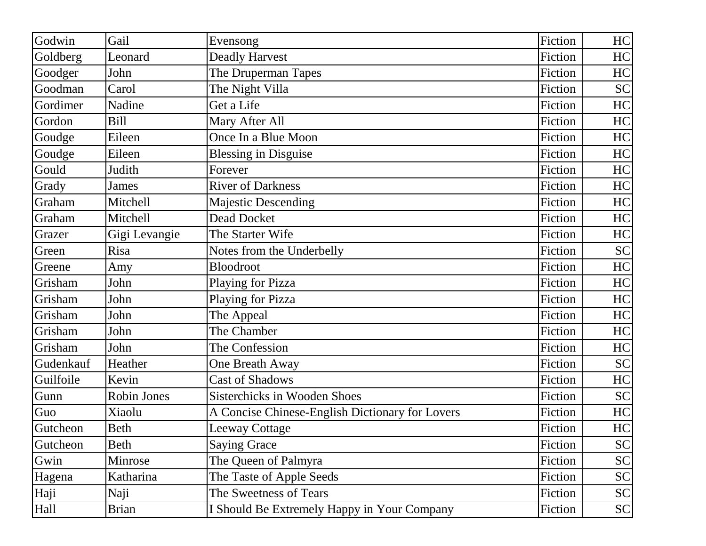| Godwin    | Gail          | Evensong                                        | Fiction | HC                         |
|-----------|---------------|-------------------------------------------------|---------|----------------------------|
| Goldberg  | Leonard       | <b>Deadly Harvest</b>                           | Fiction | HC                         |
| Goodger   | John          | The Druperman Tapes                             | Fiction | HC                         |
| Goodman   | Carol         | The Night Villa                                 | Fiction | <b>SC</b>                  |
| Gordimer  | Nadine        | Get a Life                                      | Fiction | HC                         |
| Gordon    | <b>Bill</b>   | Mary After All                                  | Fiction | HC                         |
| Goudge    | Eileen        | Once In a Blue Moon                             | Fiction | HC                         |
| Goudge    | Eileen        | <b>Blessing in Disguise</b>                     | Fiction | HC                         |
| Gould     | Judith        | Forever                                         | Fiction | HC                         |
| Grady     | James         | <b>River of Darkness</b>                        | Fiction | HC                         |
| Graham    | Mitchell      | <b>Majestic Descending</b>                      | Fiction | HC                         |
| Graham    | Mitchell      | <b>Dead Docket</b>                              | Fiction | HC                         |
| Grazer    | Gigi Levangie | The Starter Wife                                | Fiction | HC                         |
| Green     | Risa          | Notes from the Underbelly                       | Fiction | <b>SC</b>                  |
| Greene    | Amy           | Bloodroot                                       | Fiction | HC                         |
| Grisham   | John          | Playing for Pizza                               | Fiction | HC                         |
| Grisham   | John          | Playing for Pizza                               | Fiction | HC                         |
| Grisham   | John          | The Appeal                                      | Fiction | HC                         |
| Grisham   | John          | The Chamber                                     | Fiction | HC                         |
| Grisham   | John          | The Confession                                  | Fiction | HC                         |
| Gudenkauf | Heather       | One Breath Away                                 | Fiction | <b>SC</b>                  |
| Guilfoile | Kevin         | <b>Cast of Shadows</b>                          | Fiction | HC                         |
| Gunn      | Robin Jones   | <b>Sisterchicks in Wooden Shoes</b>             | Fiction | <b>SC</b>                  |
| Guo       | Xiaolu        | A Concise Chinese-English Dictionary for Lovers | Fiction | HC                         |
| Gutcheon  | <b>Beth</b>   | <b>Leeway Cottage</b>                           | Fiction | HC                         |
| Gutcheon  | Beth          | <b>Saying Grace</b>                             | Fiction | <b>SC</b>                  |
| Gwin      | Minrose       | The Queen of Palmyra                            | Fiction | <b>SC</b>                  |
| Hagena    | Katharina     | The Taste of Apple Seeds                        | Fiction | <b>SC</b>                  |
| Haji      | Naji          | The Sweetness of Tears                          | Fiction | $\ensuremath{\mathbf{SC}}$ |
| Hall      | <b>Brian</b>  | I Should Be Extremely Happy in Your Company     | Fiction | <b>SC</b>                  |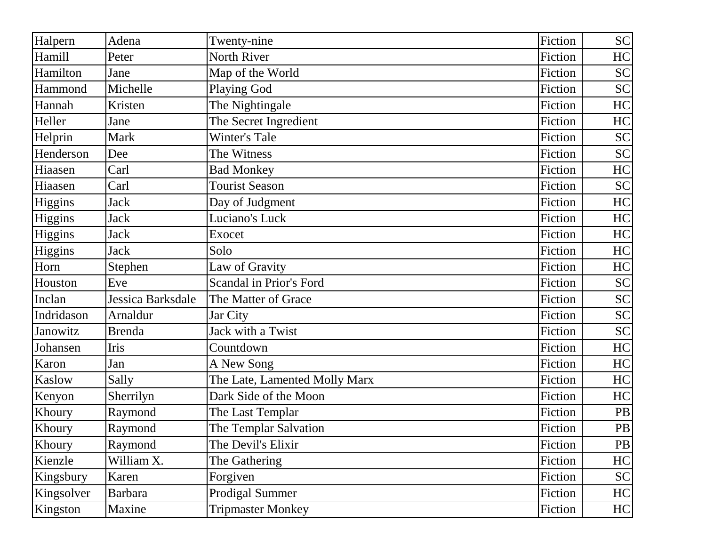| Halpern    | Adena             | Twenty-nine                   | Fiction | <b>SC</b> |
|------------|-------------------|-------------------------------|---------|-----------|
| Hamill     | Peter             | <b>North River</b>            | Fiction | HC        |
| Hamilton   | Jane              | Map of the World              | Fiction | <b>SC</b> |
| Hammond    | Michelle          | <b>Playing God</b>            | Fiction | <b>SC</b> |
| Hannah     | Kristen           | The Nightingale               | Fiction | HC        |
| Heller     | Jane              | The Secret Ingredient         | Fiction | HC        |
| Helprin    | <b>Mark</b>       | <b>Winter's Tale</b>          | Fiction | <b>SC</b> |
| Henderson  | Dee               | The Witness                   | Fiction | <b>SC</b> |
| Hiaasen    | Carl              | <b>Bad Monkey</b>             | Fiction | HC        |
| Hiaasen    | Carl              | <b>Tourist Season</b>         | Fiction | <b>SC</b> |
| Higgins    | <b>Jack</b>       | Day of Judgment               | Fiction | HC        |
| Higgins    | <b>Jack</b>       | Luciano's Luck                | Fiction | HC        |
| Higgins    | <b>Jack</b>       | Exocet                        | Fiction | HC        |
| Higgins    | <b>Jack</b>       | Solo                          | Fiction | HC        |
| Horn       | Stephen           | Law of Gravity                | Fiction | HC        |
| Houston    | Eve               | Scandal in Prior's Ford       | Fiction | <b>SC</b> |
| Inclan     | Jessica Barksdale | The Matter of Grace           | Fiction | <b>SC</b> |
| Indridason | Arnaldur          | Jar City                      | Fiction | <b>SC</b> |
| Janowitz   | <b>Brenda</b>     | Jack with a Twist             | Fiction | <b>SC</b> |
| Johansen   | Iris              | Countdown                     | Fiction | HC        |
| Karon      | Jan               | A New Song                    | Fiction | HC        |
| Kaslow     | Sally             | The Late, Lamented Molly Marx | Fiction | HC        |
| Kenyon     | Sherrilyn         | Dark Side of the Moon         | Fiction | HC        |
| Khoury     | Raymond           | The Last Templar              | Fiction | PB        |
| Khoury     | Raymond           | The Templar Salvation         | Fiction | <b>PB</b> |
| Khoury     | Raymond           | The Devil's Elixir            | Fiction | <b>PB</b> |
| Kienzle    | William X.        | The Gathering                 | Fiction | HC        |
| Kingsbury  | Karen             | Forgiven                      | Fiction | <b>SC</b> |
| Kingsolver | <b>Barbara</b>    | <b>Prodigal Summer</b>        | Fiction | HC        |
| Kingston   | Maxine            | <b>Tripmaster Monkey</b>      | Fiction | HC        |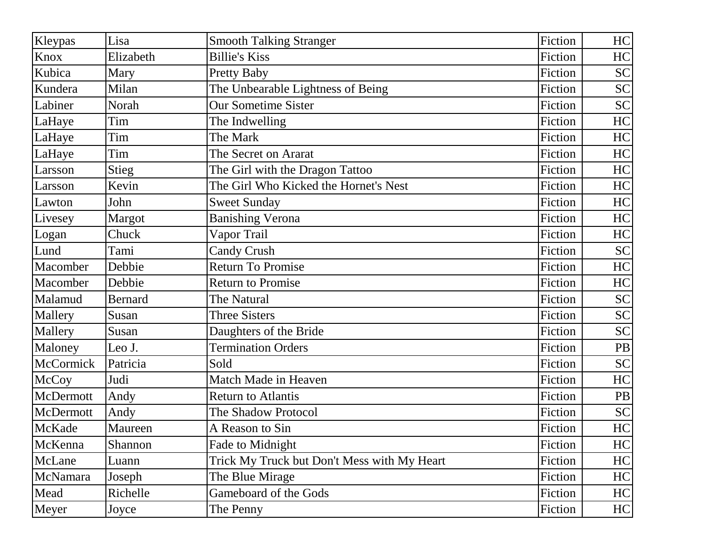| Kleypas   | Lisa           | <b>Smooth Talking Stranger</b>              | Fiction | HC        |
|-----------|----------------|---------------------------------------------|---------|-----------|
| Knox      | Elizabeth      | <b>Billie's Kiss</b>                        | Fiction | HC        |
| Kubica    | Mary           | <b>Pretty Baby</b>                          | Fiction | <b>SC</b> |
| Kundera   | Milan          | The Unbearable Lightness of Being           | Fiction | <b>SC</b> |
| Labiner   | Norah          | <b>Our Sometime Sister</b>                  | Fiction | <b>SC</b> |
| LaHaye    | Tim            | The Indwelling                              | Fiction | HC        |
| LaHaye    | Tim            | The Mark                                    | Fiction | HC        |
| LaHaye    | Tim            | The Secret on Ararat                        | Fiction | HC        |
| Larsson   | Stieg          | The Girl with the Dragon Tattoo             | Fiction | HC        |
| Larsson   | Kevin          | The Girl Who Kicked the Hornet's Nest       | Fiction | HC        |
| Lawton    | John           | <b>Sweet Sunday</b>                         | Fiction | HC        |
| Livesey   | Margot         | <b>Banishing Verona</b>                     | Fiction | HC        |
| Logan     | Chuck          | Vapor Trail                                 | Fiction | HC        |
| Lund      | Tami           | <b>Candy Crush</b>                          | Fiction | <b>SC</b> |
| Macomber  | Debbie         | <b>Return To Promise</b>                    | Fiction | HC        |
| Macomber  | Debbie         | <b>Return to Promise</b>                    | Fiction | HC        |
| Malamud   | <b>Bernard</b> | The Natural                                 | Fiction | <b>SC</b> |
| Mallery   | Susan          | <b>Three Sisters</b>                        | Fiction | <b>SC</b> |
| Mallery   | Susan          | Daughters of the Bride                      | Fiction | <b>SC</b> |
| Maloney   | Leo J.         | <b>Termination Orders</b>                   | Fiction | <b>PB</b> |
| McCormick | Patricia       | Sold                                        | Fiction | <b>SC</b> |
| McCoy     | Judi           | Match Made in Heaven                        | Fiction | HC        |
| McDermott | Andy           | <b>Return to Atlantis</b>                   | Fiction | PB        |
| McDermott | Andy           | The Shadow Protocol                         | Fiction | <b>SC</b> |
| McKade    | Maureen        | A Reason to Sin                             | Fiction | HC        |
| McKenna   | Shannon        | Fade to Midnight                            | Fiction | HC        |
| McLane    | Luann          | Trick My Truck but Don't Mess with My Heart | Fiction | HC        |
| McNamara  | Joseph         | The Blue Mirage                             | Fiction | HC        |
| Mead      | Richelle       | Gameboard of the Gods                       | Fiction | HC        |
| Meyer     | Joyce          | The Penny                                   | Fiction | HC        |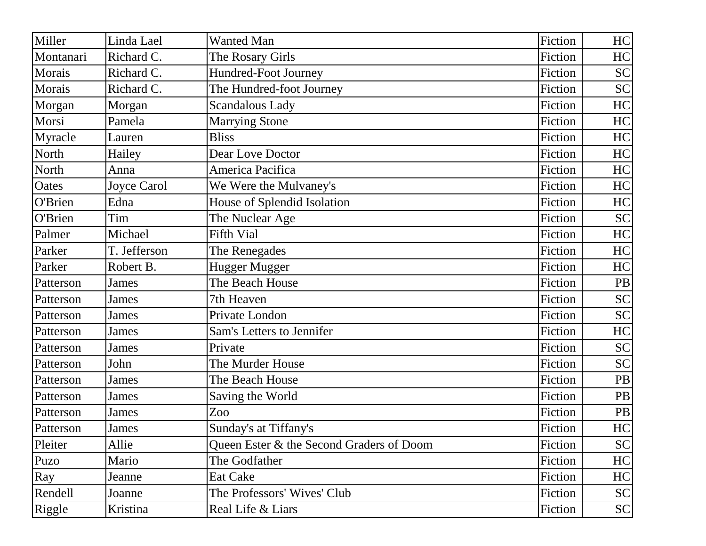| Miller    | Linda Lael   | <b>Wanted Man</b>                        | Fiction | HC        |
|-----------|--------------|------------------------------------------|---------|-----------|
| Montanari | Richard C.   | The Rosary Girls                         | Fiction | HC        |
| Morais    | Richard C.   | Hundred-Foot Journey                     | Fiction | <b>SC</b> |
| Morais    | Richard C.   | The Hundred-foot Journey                 | Fiction | <b>SC</b> |
| Morgan    | Morgan       | <b>Scandalous Lady</b>                   | Fiction | HC        |
| Morsi     | Pamela       | <b>Marrying Stone</b>                    | Fiction | HC        |
| Myracle   | Lauren       | <b>Bliss</b>                             | Fiction | HC        |
| North     | Hailey       | Dear Love Doctor                         | Fiction | HC        |
| North     | Anna         | America Pacifica                         | Fiction | HC        |
| Oates     | Joyce Carol  | We Were the Mulvaney's                   | Fiction | HC        |
| O'Brien   | Edna         | House of Splendid Isolation              | Fiction | HC        |
| O'Brien   | Tim          | The Nuclear Age                          | Fiction | <b>SC</b> |
| Palmer    | Michael      | <b>Fifth Vial</b>                        | Fiction | HC        |
| Parker    | T. Jefferson | The Renegades                            | Fiction | HC        |
| Parker    | Robert B.    | Hugger Mugger                            | Fiction | HC        |
| Patterson | James        | The Beach House                          | Fiction | PB        |
| Patterson | James        | 7th Heaven                               | Fiction | <b>SC</b> |
| Patterson | James        | Private London                           | Fiction | <b>SC</b> |
| Patterson | James        | Sam's Letters to Jennifer                | Fiction | HC        |
| Patterson | James        | Private                                  | Fiction | <b>SC</b> |
| Patterson | John         | The Murder House                         | Fiction | <b>SC</b> |
| Patterson | <b>James</b> | The Beach House                          | Fiction | <b>PB</b> |
| Patterson | James        | Saving the World                         | Fiction | <b>PB</b> |
| Patterson | James        | Zoo                                      | Fiction | PB        |
| Patterson | <b>James</b> | Sunday's at Tiffany's                    | Fiction | HC        |
| Pleiter   | Allie        | Queen Ester & the Second Graders of Doom | Fiction | <b>SC</b> |
| Puzo      | Mario        | The Godfather                            | Fiction | HC        |
| Ray       | Jeanne       | <b>Eat Cake</b>                          | Fiction | HC        |
| Rendell   | Joanne       | The Professors' Wives' Club              | Fiction | <b>SC</b> |
| Riggle    | Kristina     | Real Life & Liars                        | Fiction | <b>SC</b> |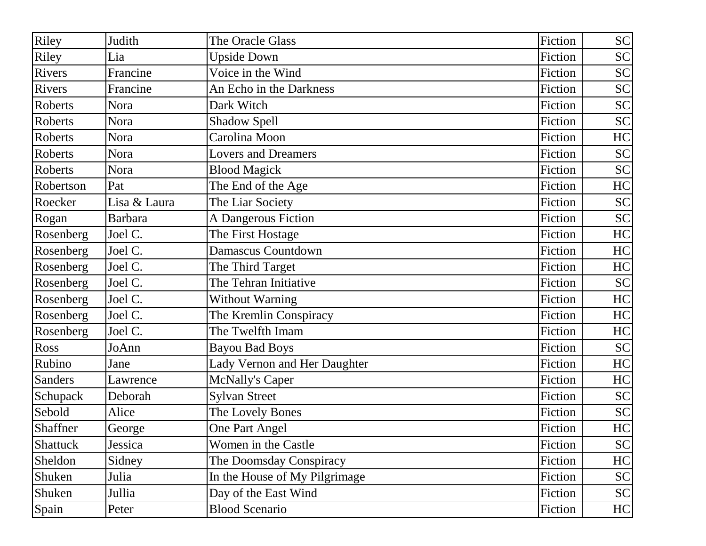| Riley           | Judith         | The Oracle Glass              | Fiction | <b>SC</b> |
|-----------------|----------------|-------------------------------|---------|-----------|
| Riley           | Lia            | <b>Upside Down</b>            | Fiction | <b>SC</b> |
| Rivers          | Francine       | Voice in the Wind             | Fiction | <b>SC</b> |
| Rivers          | Francine       | An Echo in the Darkness       | Fiction | <b>SC</b> |
| Roberts         | Nora           | Dark Witch                    | Fiction | <b>SC</b> |
| Roberts         | Nora           | <b>Shadow Spell</b>           | Fiction | <b>SC</b> |
| Roberts         | Nora           | Carolina Moon                 | Fiction | HC        |
| Roberts         | Nora           | <b>Lovers and Dreamers</b>    | Fiction | <b>SC</b> |
| Roberts         | Nora           | <b>Blood Magick</b>           | Fiction | <b>SC</b> |
| Robertson       | Pat            | The End of the Age            | Fiction | HC        |
| Roecker         | Lisa & Laura   | The Liar Society              | Fiction | <b>SC</b> |
| Rogan           | <b>Barbara</b> | A Dangerous Fiction           | Fiction | <b>SC</b> |
| Rosenberg       | Joel C.        | The First Hostage             | Fiction | HC        |
| Rosenberg       | Joel C.        | Damascus Countdown            | Fiction | HC        |
| Rosenberg       | Joel C.        | The Third Target              | Fiction | HC        |
| Rosenberg       | Joel C.        | The Tehran Initiative         | Fiction | <b>SC</b> |
| Rosenberg       | Joel C.        | <b>Without Warning</b>        | Fiction | HC        |
| Rosenberg       | Joel C.        | The Kremlin Conspiracy        | Fiction | HC        |
| Rosenberg       | Joel C.        | The Twelfth Imam              | Fiction | HC        |
| Ross            | JoAnn          | <b>Bayou Bad Boys</b>         | Fiction | <b>SC</b> |
| Rubino          | Jane           | Lady Vernon and Her Daughter  | Fiction | HC        |
| <b>Sanders</b>  | Lawrence       | <b>McNally's Caper</b>        | Fiction | HC        |
| Schupack        | Deborah        | <b>Sylvan Street</b>          | Fiction | <b>SC</b> |
| Sebold          | Alice          | The Lovely Bones              | Fiction | <b>SC</b> |
| Shaffner        | George         | One Part Angel                | Fiction | HC        |
| <b>Shattuck</b> | Jessica        | Women in the Castle           | Fiction | <b>SC</b> |
| Sheldon         | Sidney         | The Doomsday Conspiracy       | Fiction | HC        |
| Shuken          | Julia          | In the House of My Pilgrimage | Fiction | <b>SC</b> |
| Shuken          | Jullia         | Day of the East Wind          | Fiction | <b>SC</b> |
| Spain           | Peter          | <b>Blood Scenario</b>         | Fiction | HC        |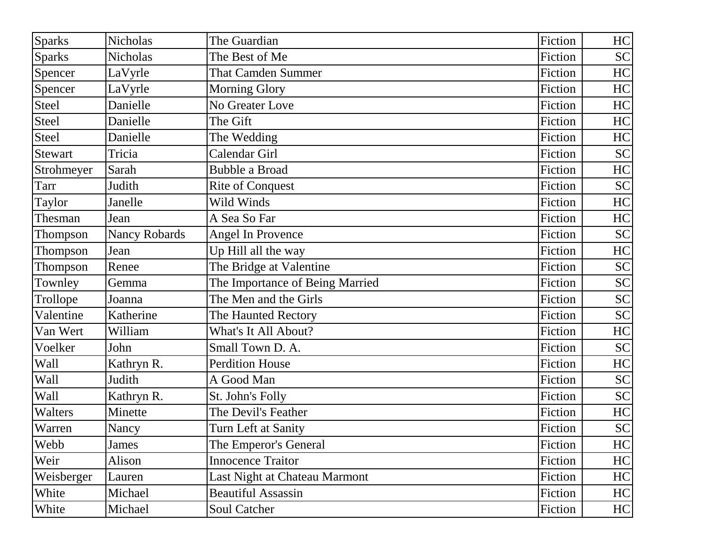| <b>Sparks</b>  | <b>Nicholas</b>      | The Guardian                    | Fiction | HC        |
|----------------|----------------------|---------------------------------|---------|-----------|
| <b>Sparks</b>  | <b>Nicholas</b>      | The Best of Me                  | Fiction | <b>SC</b> |
| Spencer        | LaVyrle              | <b>That Camden Summer</b>       | Fiction | HC        |
| Spencer        | LaVyrle              | <b>Morning Glory</b>            | Fiction | HC        |
| Steel          | Danielle             | No Greater Love                 | Fiction | HC        |
| <b>Steel</b>   | Danielle             | The Gift                        | Fiction | HC        |
| <b>Steel</b>   | Danielle             | The Wedding                     | Fiction | HC        |
| <b>Stewart</b> | Tricia               | Calendar Girl                   | Fiction | <b>SC</b> |
| Strohmeyer     | Sarah                | <b>Bubble a Broad</b>           | Fiction | HC        |
| Tarr           | Judith               | <b>Rite of Conquest</b>         | Fiction | <b>SC</b> |
| Taylor         | Janelle              | Wild Winds                      | Fiction | HC        |
| Thesman        | Jean                 | A Sea So Far                    | Fiction | HC        |
| Thompson       | <b>Nancy Robards</b> | <b>Angel In Provence</b>        | Fiction | <b>SC</b> |
| Thompson       | Jean                 | Up Hill all the way             | Fiction | HC        |
| Thompson       | Renee                | The Bridge at Valentine         | Fiction | <b>SC</b> |
| Townley        | Gemma                | The Importance of Being Married | Fiction | <b>SC</b> |
| Trollope       | Joanna               | The Men and the Girls           | Fiction | <b>SC</b> |
| Valentine      | Katherine            | The Haunted Rectory             | Fiction | <b>SC</b> |
| Van Wert       | William              | What's It All About?            | Fiction | HC        |
| Voelker        | John                 | Small Town D. A.                | Fiction | <b>SC</b> |
| Wall           | Kathryn R.           | <b>Perdition House</b>          | Fiction | HC        |
| Wall           | Judith               | A Good Man                      | Fiction | <b>SC</b> |
| Wall           | Kathryn R.           | St. John's Folly                | Fiction | <b>SC</b> |
| Walters        | Minette              | The Devil's Feather             | Fiction | HC        |
| Warren         | Nancy                | Turn Left at Sanity             | Fiction | <b>SC</b> |
| Webb           | James                | The Emperor's General           | Fiction | HC        |
| Weir           | Alison               | <b>Innocence Traitor</b>        | Fiction | HC        |
| Weisberger     | Lauren               | Last Night at Chateau Marmont   | Fiction | HC        |
| White          | Michael              | <b>Beautiful Assassin</b>       | Fiction | HC        |
| White          | Michael              | <b>Soul Catcher</b>             | Fiction | HC        |